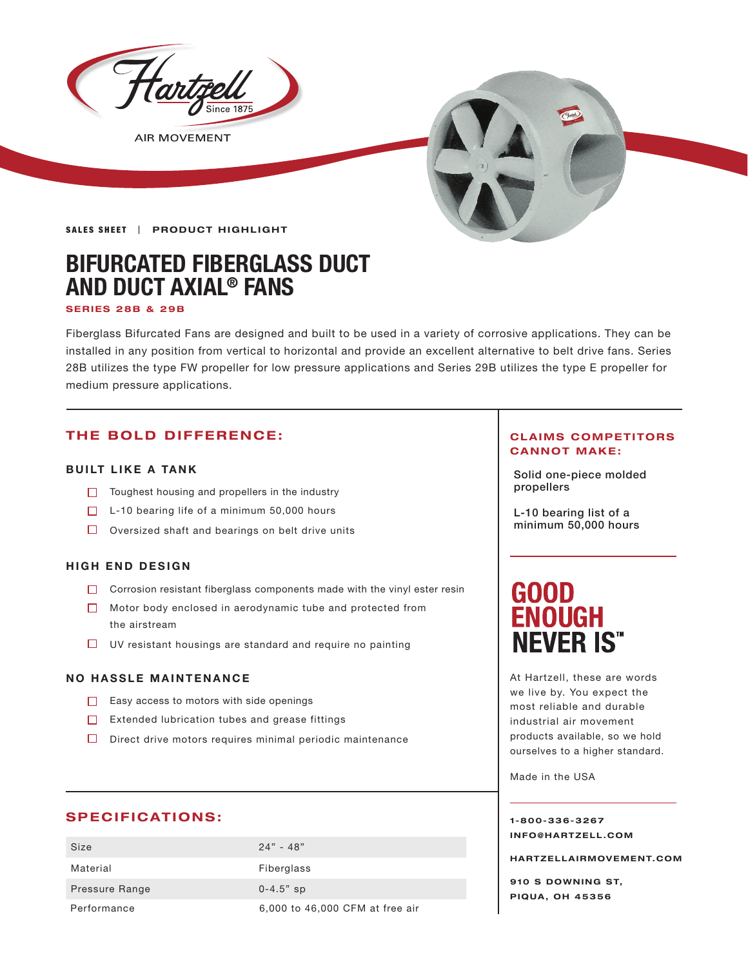

**AIR MOVEMENT** 



**SALES SHEET | PRODUCT HIGHLIGHT** 

# **BIFURCATED FIBERGLASS DUCT AND DUCT AXIAL® FANS**

**SER IES 28B & 29B**

Fiberglass Bifurcated Fans are designed and built to be used in a variety of corrosive applications. They can be installed in any position from vertical to horizontal and provide an excellent alternative to belt drive fans. Series 28B utilizes the type FW propeller for low pressure applications and Series 29B utilizes the type E propeller for medium pressure applications.

### **THE BOLD DIFFERENCE:**

### **BUILT LIKE A TANK**

- □ Toughest housing and propellers in the industry **Toughest in the industry Toughest**
- $\Box$  L-10 bearing life of a minimum 50,000 hours
- $\Box$  Oversized shaft and bearings on belt drive units

#### **HIGH END DESIGN**

- $\Box$  Corrosion resistant fiberglass components made with the vinyl ester resin
- Motor body enclosed in aerodynamic tube and protected from the airstream
- $\Box$  UV resistant housings are standard and require no painting

### **NO HASSLE MAINTENANCE**

- $\Box$  Easy access to motors with side openings
- Extended lubrication tubes and grease fittings
- $\Box$  Direct drive motors requires minimal periodic maintenance

### **SPECIFICATIONS:**

| Size           | $24" - 48"$                     |
|----------------|---------------------------------|
| Material       | Fiberglass                      |
| Pressure Range | $0 - 4.5"$ sp                   |
| Performance    | 6,000 to 46,000 CFM at free air |

### **CLAIMS COMPETITORS CANNOT MAKE:**

Solid one-piece molded

L-10 bearing list of a minimum 50,000 hours

# **GOOD ENOUGH NEVER IS"**

At Hartzell, these are words we live by. You expect the most reliable and durable industrial air movement products available, so we hold ourselves to a higher standard.

Made in the USA

### **1-800-336-3267 I N F O @ H A R T Z E L L . C OM**

**HARTZELLA IRMOVEMENT.COM**

**910 S DOWNING ST, PIQUA, OH 45356**